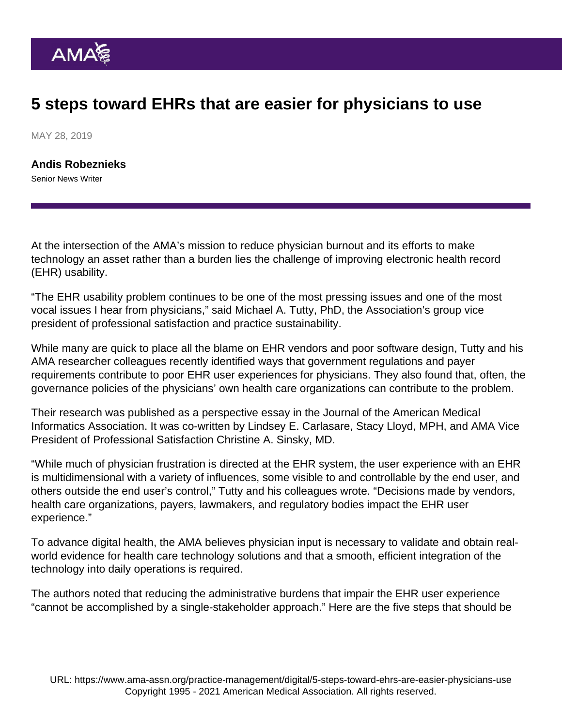## 5 steps toward EHRs that are easier for physicians to use

MAY 28, 2019

[Andis Robeznieks](https://www.ama-assn.org/news-leadership-viewpoints/authors-news-leadership-viewpoints/andis-robeznieks) Senior News Writer

At the intersection of the AMA's mission to reduce physician burnout and its efforts to make technology an asset rather than a burden lies the challenge of improving electronic health record (EHR) usability.

"The [EHR usability](https://www.ama-assn.org/sites/ama-assn.org/files/corp/media-browser/member/about-ama/ehr-priorities.pdf) problem continues to be one of the most pressing issues and one of the most vocal issues I hear from physicians," said Michael A. Tutty, PhD, the Association's group vice president of professional satisfaction and practice sustainability.

While many are quick to place all the blame on EHR vendors and poor software design, Tutty and his AMA researcher colleagues recently identified ways that government regulations and payer requirements contribute to poor EHR user experiences for physicians. They also found that, often, the governance policies of the physicians' own health care organizations can contribute to the problem.

Their research was published as a [perspective essay](https://academic.oup.com/jamia/advance-article/doi/10.1093/jamia/ocz021/5426085) in the Journal of the American Medical Informatics Association. It was co-written by Lindsey E. Carlasare, Stacy Lloyd, MPH, and AMA Vice President of Professional Satisfaction Christine A. Sinsky, MD.

"While much of physician frustration is directed at the EHR system, the user experience with an EHR is multidimensional with a variety of influences, some visible to and controllable by the end user, and others outside the end user's control," Tutty and his colleagues wrote. "Decisions made by vendors, health care organizations, payers, lawmakers, and regulatory bodies impact the EHR user experience."

To advance [digital health](https://www.ama-assn.org/practice-management/digital), the AMA believes physician input is necessary to validate and obtain realworld evidence for health care technology solutions and that a smooth, efficient integration of the technology into daily operations is required.

The authors noted that reducing the administrative burdens that impair the EHR user experience "cannot be accomplished by a single-stakeholder approach." Here are the five steps that should be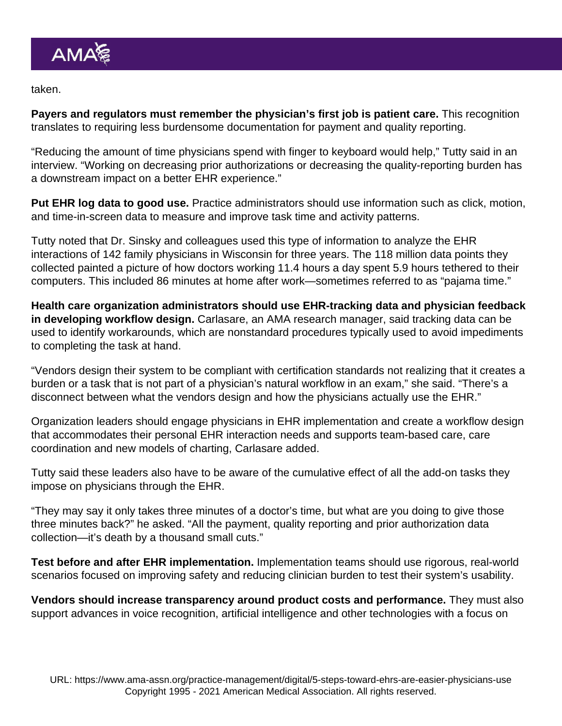taken.

Payers and regulators must remember the physician's first job is patient care. This recognition translates to requiring less burdensome documentation for payment and quality reporting.

"Reducing the amount of time physicians spend with finger to keyboard would help," Tutty said in an interview. "Working on decreasing prior authorizations or decreasing the quality-reporting burden has a downstream impact on a better EHR experience."

Put EHR log data to good use. Practice administrators should use information such as click, motion, and time-in-screen data to measure and improve task time and activity patterns.

Tutty noted that Dr. Sinsky and colleagues used this type of information to analyze the EHR interactions of 142 family physicians in Wisconsin for three years. The 118 million data points they collected painted a picture of how doctors working 11.4 hours a day spent 5.9 hours tethered to their computers. This included 86 minutes at home after work—sometimes referred to as ["pajama time.](https://www.ama-assn.org/practice-management/digital/family-doctors-spend-86-minutes-pajama-time-ehrs-nightly)"

Health care organization administrators should use EHR-tracking data and physician feedback in developing workflow design. Carlasare, an AMA research manager, said tracking data can be used to identify workarounds, which are nonstandard procedures typically used to avoid impediments to completing the task at hand.

"Vendors design their system to be compliant with certification standards not realizing that it creates a burden or a task that is not part of a physician's natural workflow in an exam," she said. "There's a disconnect between what the vendors design and how the physicians actually use the EHR."

Organization leaders should engage physicians in EHR implementation and create a workflow design that accommodates their personal EHR interaction needs and supports team-based care, care coordination and new models of charting, Carlasare added.

Tutty said these leaders also have to be aware of the cumulative effect of all the add-on tasks they impose on physicians through the EHR.

"They may say it only takes three minutes of a doctor's time, but what are you doing to give those three minutes back?" he asked. "All the payment, quality reporting and prior authorization data collection—it's death by a thousand small cuts."

Test before and after EHR implementation. Implementation teams should use rigorous, real-world scenarios focused on improving safety and reducing clinician burden to test their system's usability.

Vendors should increase transparency around product costs and performance. They must also support advances in voice recognition, artificial intelligence and other technologies with a focus on